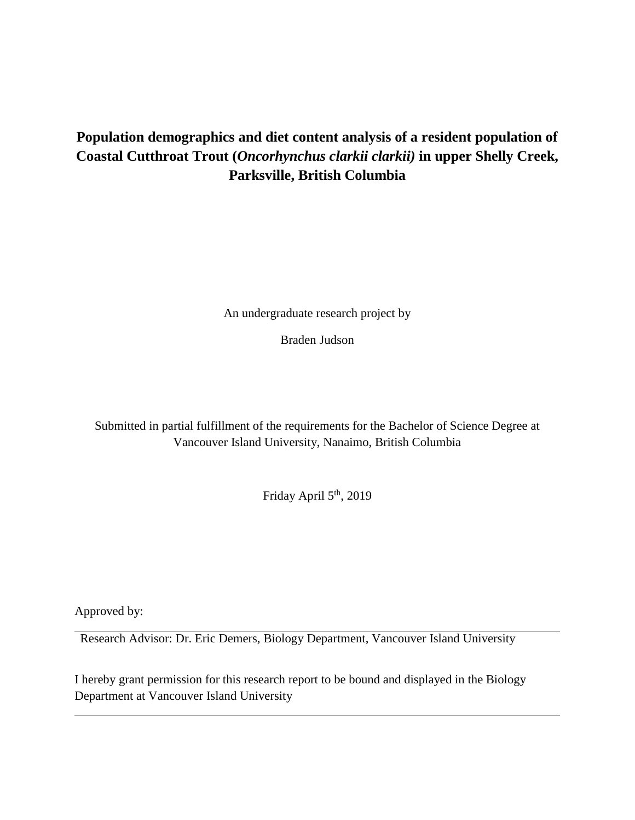# **Population demographics and diet content analysis of a resident population of Coastal Cutthroat Trout (***Oncorhynchus clarkii clarkii)* **in upper Shelly Creek, Parksville, British Columbia**

An undergraduate research project by

Braden Judson

Submitted in partial fulfillment of the requirements for the Bachelor of Science Degree at Vancouver Island University, Nanaimo, British Columbia

Friday April 5<sup>th</sup>, 2019

Approved by:

Research Advisor: Dr. Eric Demers, Biology Department, Vancouver Island University

I hereby grant permission for this research report to be bound and displayed in the Biology Department at Vancouver Island University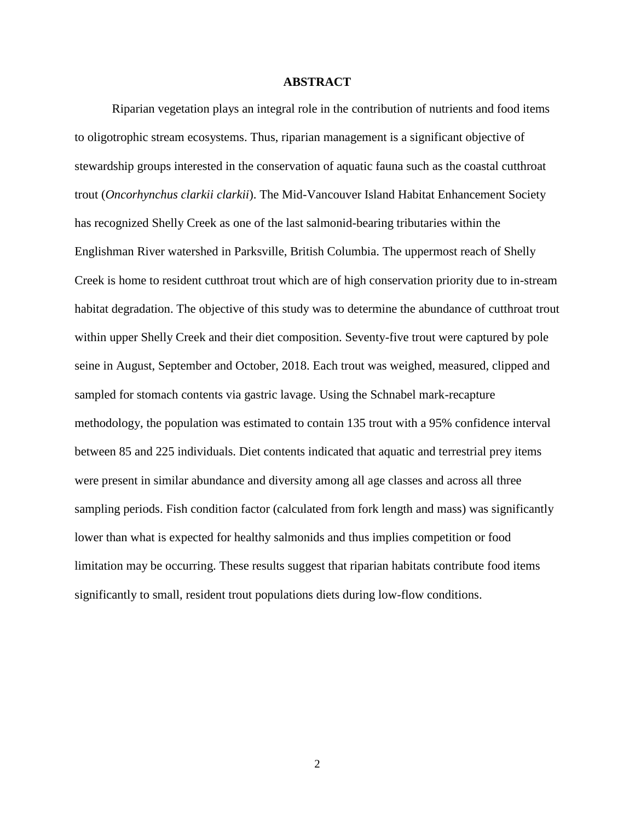## **ABSTRACT**

Riparian vegetation plays an integral role in the contribution of nutrients and food items to oligotrophic stream ecosystems. Thus, riparian management is a significant objective of stewardship groups interested in the conservation of aquatic fauna such as the coastal cutthroat trout (*Oncorhynchus clarkii clarkii*). The Mid-Vancouver Island Habitat Enhancement Society has recognized Shelly Creek as one of the last salmonid-bearing tributaries within the Englishman River watershed in Parksville, British Columbia. The uppermost reach of Shelly Creek is home to resident cutthroat trout which are of high conservation priority due to in-stream habitat degradation. The objective of this study was to determine the abundance of cutthroat trout within upper Shelly Creek and their diet composition. Seventy-five trout were captured by pole seine in August, September and October, 2018. Each trout was weighed, measured, clipped and sampled for stomach contents via gastric lavage. Using the Schnabel mark-recapture methodology, the population was estimated to contain 135 trout with a 95% confidence interval between 85 and 225 individuals. Diet contents indicated that aquatic and terrestrial prey items were present in similar abundance and diversity among all age classes and across all three sampling periods. Fish condition factor (calculated from fork length and mass) was significantly lower than what is expected for healthy salmonids and thus implies competition or food limitation may be occurring. These results suggest that riparian habitats contribute food items significantly to small, resident trout populations diets during low-flow conditions.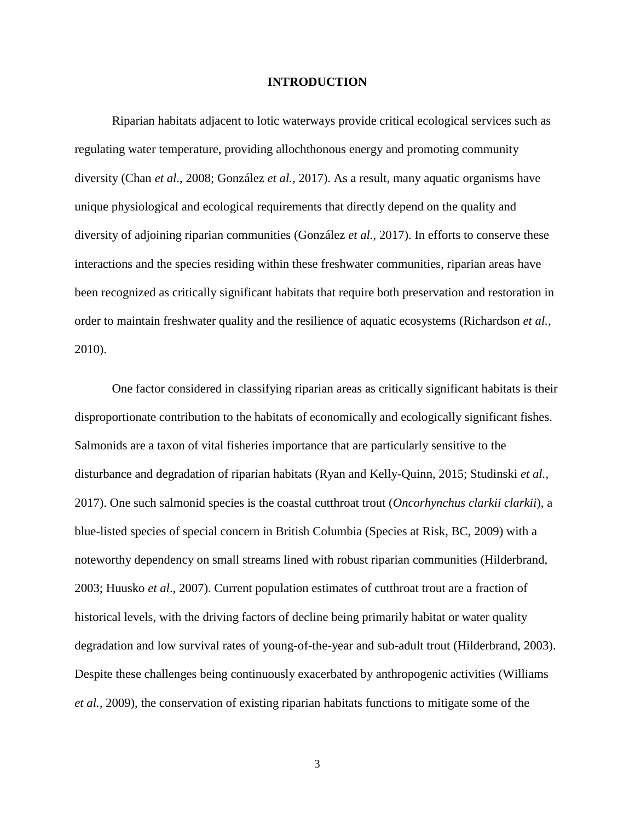#### **INTRODUCTION**

Riparian habitats adjacent to lotic waterways provide critical ecological services such as regulating water temperature, providing allochthonous energy and promoting community diversity (Chan *et al.*, 2008; González *et al.*, 2017). As a result, many aquatic organisms have unique physiological and ecological requirements that directly depend on the quality and diversity of adjoining riparian communities (González *et al.,* 2017). In efforts to conserve these interactions and the species residing within these freshwater communities, riparian areas have been recognized as critically significant habitats that require both preservation and restoration in order to maintain freshwater quality and the resilience of aquatic ecosystems (Richardson *et al.,* 2010).

One factor considered in classifying riparian areas as critically significant habitats is their disproportionate contribution to the habitats of economically and ecologically significant fishes. Salmonids are a taxon of vital fisheries importance that are particularly sensitive to the disturbance and degradation of riparian habitats (Ryan and Kelly-Quinn, 2015; Studinski *et al.,* 2017). One such salmonid species is the coastal cutthroat trout (*Oncorhynchus clarkii clarkii*), a blue-listed species of special concern in British Columbia (Species at Risk, BC, 2009) with a noteworthy dependency on small streams lined with robust riparian communities (Hilderbrand, 2003; Huusko *et al*., 2007). Current population estimates of cutthroat trout are a fraction of historical levels, with the driving factors of decline being primarily habitat or water quality degradation and low survival rates of young-of-the-year and sub-adult trout (Hilderbrand, 2003). Despite these challenges being continuously exacerbated by anthropogenic activities (Williams *et al.,* 2009), the conservation of existing riparian habitats functions to mitigate some of the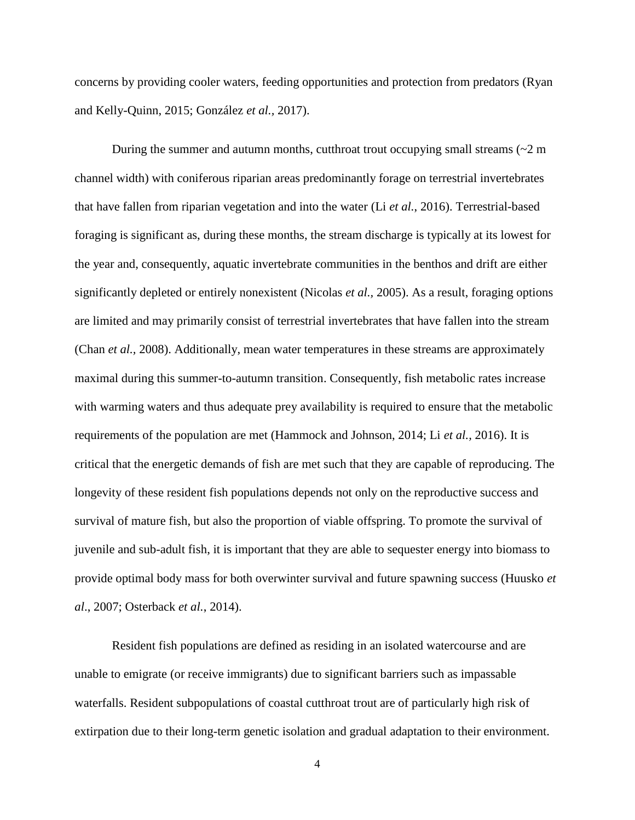concerns by providing cooler waters, feeding opportunities and protection from predators (Ryan and Kelly-Quinn, 2015; González *et al.,* 2017).

During the summer and autumn months, cutthroat trout occupying small streams  $\left(\sim 2 \text{ m}\right)$ channel width) with coniferous riparian areas predominantly forage on terrestrial invertebrates that have fallen from riparian vegetation and into the water (Li *et al.*, 2016). Terrestrial-based foraging is significant as, during these months, the stream discharge is typically at its lowest for the year and, consequently, aquatic invertebrate communities in the benthos and drift are either significantly depleted or entirely nonexistent (Nicolas *et al.,* 2005). As a result, foraging options are limited and may primarily consist of terrestrial invertebrates that have fallen into the stream (Chan *et al.,* 2008). Additionally, mean water temperatures in these streams are approximately maximal during this summer-to-autumn transition. Consequently, fish metabolic rates increase with warming waters and thus adequate prey availability is required to ensure that the metabolic requirements of the population are met (Hammock and Johnson, 2014; Li *et al.,* 2016). It is critical that the energetic demands of fish are met such that they are capable of reproducing. The longevity of these resident fish populations depends not only on the reproductive success and survival of mature fish, but also the proportion of viable offspring. To promote the survival of juvenile and sub-adult fish, it is important that they are able to sequester energy into biomass to provide optimal body mass for both overwinter survival and future spawning success (Huusko *et al*., 2007; Osterback *et al.*, 2014).

Resident fish populations are defined as residing in an isolated watercourse and are unable to emigrate (or receive immigrants) due to significant barriers such as impassable waterfalls. Resident subpopulations of coastal cutthroat trout are of particularly high risk of extirpation due to their long-term genetic isolation and gradual adaptation to their environment.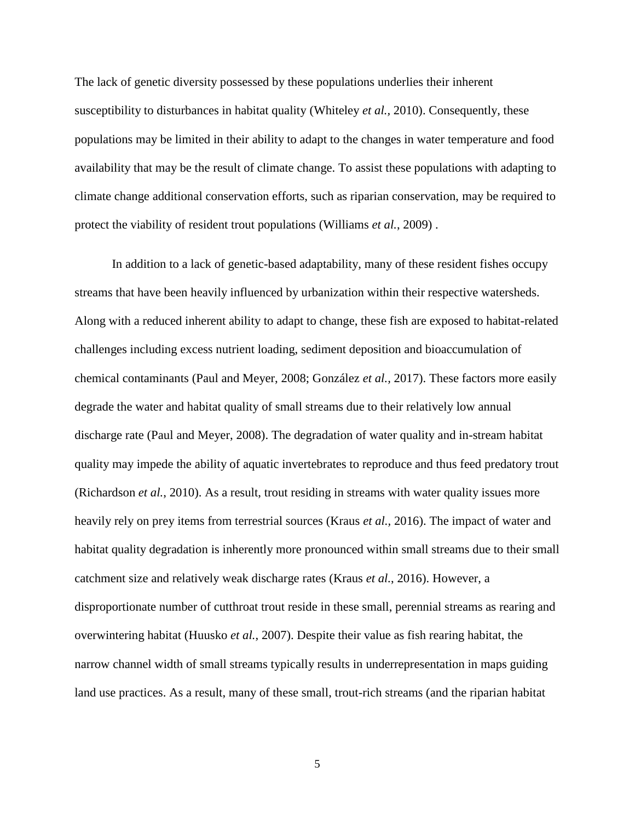The lack of genetic diversity possessed by these populations underlies their inherent susceptibility to disturbances in habitat quality (Whiteley *et al.,* 2010). Consequently, these populations may be limited in their ability to adapt to the changes in water temperature and food availability that may be the result of climate change. To assist these populations with adapting to climate change additional conservation efforts, such as riparian conservation, may be required to protect the viability of resident trout populations (Williams *et al.*, 2009) .

In addition to a lack of genetic-based adaptability, many of these resident fishes occupy streams that have been heavily influenced by urbanization within their respective watersheds. Along with a reduced inherent ability to adapt to change, these fish are exposed to habitat-related challenges including excess nutrient loading, sediment deposition and bioaccumulation of chemical contaminants (Paul and Meyer, 2008; González *et al.,* 2017). These factors more easily degrade the water and habitat quality of small streams due to their relatively low annual discharge rate (Paul and Meyer, 2008). The degradation of water quality and in-stream habitat quality may impede the ability of aquatic invertebrates to reproduce and thus feed predatory trout (Richardson *et al.*, 2010). As a result, trout residing in streams with water quality issues more heavily rely on prey items from terrestrial sources (Kraus *et al.,* 2016). The impact of water and habitat quality degradation is inherently more pronounced within small streams due to their small catchment size and relatively weak discharge rates (Kraus *et al.*, 2016). However, a disproportionate number of cutthroat trout reside in these small, perennial streams as rearing and overwintering habitat (Huusko *et al.*, 2007). Despite their value as fish rearing habitat, the narrow channel width of small streams typically results in underrepresentation in maps guiding land use practices. As a result, many of these small, trout-rich streams (and the riparian habitat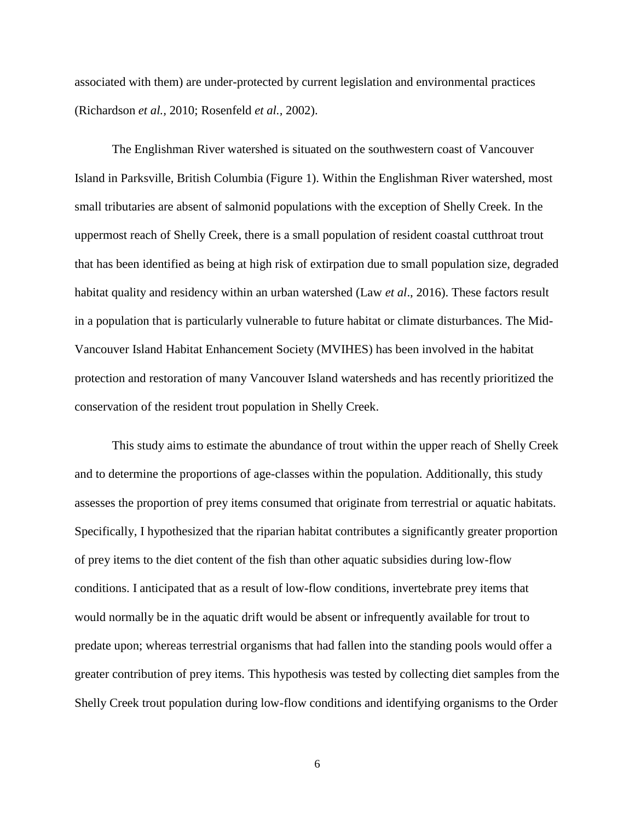associated with them) are under-protected by current legislation and environmental practices (Richardson *et al.,* 2010; Rosenfeld *et al.,* 2002).

The Englishman River watershed is situated on the southwestern coast of Vancouver Island in Parksville, British Columbia (Figure 1). Within the Englishman River watershed, most small tributaries are absent of salmonid populations with the exception of Shelly Creek. In the uppermost reach of Shelly Creek, there is a small population of resident coastal cutthroat trout that has been identified as being at high risk of extirpation due to small population size, degraded habitat quality and residency within an urban watershed (Law *et al*., 2016). These factors result in a population that is particularly vulnerable to future habitat or climate disturbances. The Mid-Vancouver Island Habitat Enhancement Society (MVIHES) has been involved in the habitat protection and restoration of many Vancouver Island watersheds and has recently prioritized the conservation of the resident trout population in Shelly Creek.

This study aims to estimate the abundance of trout within the upper reach of Shelly Creek and to determine the proportions of age-classes within the population. Additionally, this study assesses the proportion of prey items consumed that originate from terrestrial or aquatic habitats. Specifically, I hypothesized that the riparian habitat contributes a significantly greater proportion of prey items to the diet content of the fish than other aquatic subsidies during low-flow conditions. I anticipated that as a result of low-flow conditions, invertebrate prey items that would normally be in the aquatic drift would be absent or infrequently available for trout to predate upon; whereas terrestrial organisms that had fallen into the standing pools would offer a greater contribution of prey items. This hypothesis was tested by collecting diet samples from the Shelly Creek trout population during low-flow conditions and identifying organisms to the Order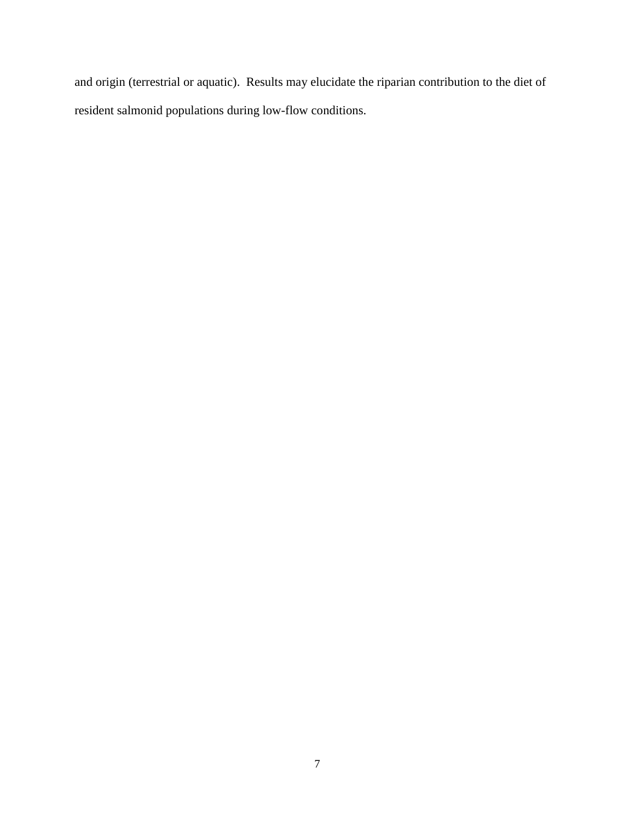and origin (terrestrial or aquatic). Results may elucidate the riparian contribution to the diet of resident salmonid populations during low-flow conditions.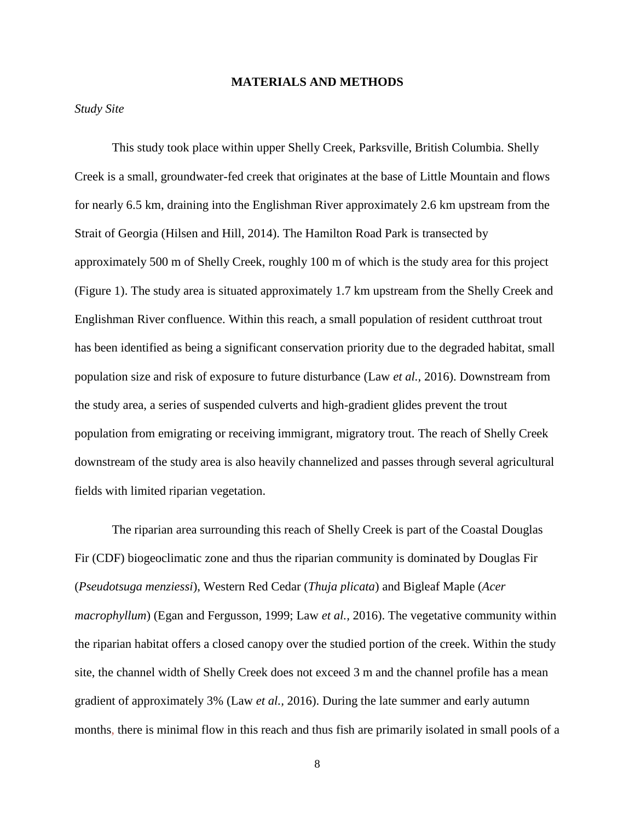#### **MATERIALS AND METHODS**

#### *Study Site*

This study took place within upper Shelly Creek, Parksville, British Columbia. Shelly Creek is a small, groundwater-fed creek that originates at the base of Little Mountain and flows for nearly 6.5 km, draining into the Englishman River approximately 2.6 km upstream from the Strait of Georgia (Hilsen and Hill, 2014). The Hamilton Road Park is transected by approximately 500 m of Shelly Creek, roughly 100 m of which is the study area for this project (Figure 1). The study area is situated approximately 1.7 km upstream from the Shelly Creek and Englishman River confluence. Within this reach, a small population of resident cutthroat trout has been identified as being a significant conservation priority due to the degraded habitat, small population size and risk of exposure to future disturbance (Law *et al.,* 2016). Downstream from the study area, a series of suspended culverts and high-gradient glides prevent the trout population from emigrating or receiving immigrant, migratory trout. The reach of Shelly Creek downstream of the study area is also heavily channelized and passes through several agricultural fields with limited riparian vegetation.

The riparian area surrounding this reach of Shelly Creek is part of the Coastal Douglas Fir (CDF) biogeoclimatic zone and thus the riparian community is dominated by Douglas Fir (*Pseudotsuga menziessi*), Western Red Cedar (*Thuja plicata*) and Bigleaf Maple (*Acer macrophyllum*) (Egan and Fergusson, 1999; Law *et al.,* 2016). The vegetative community within the riparian habitat offers a closed canopy over the studied portion of the creek. Within the study site, the channel width of Shelly Creek does not exceed 3 m and the channel profile has a mean gradient of approximately 3% (Law *et al.,* 2016). During the late summer and early autumn months, there is minimal flow in this reach and thus fish are primarily isolated in small pools of a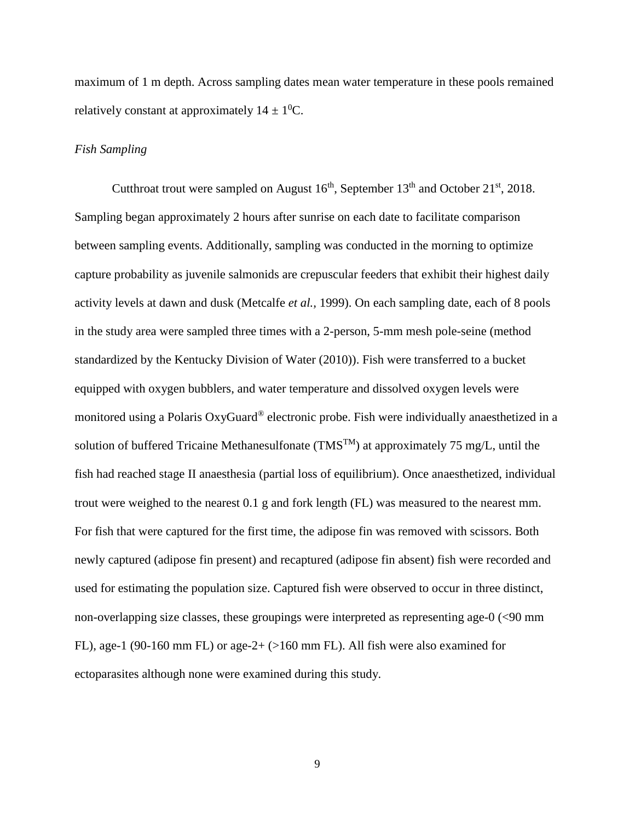maximum of 1 m depth. Across sampling dates mean water temperature in these pools remained relatively constant at approximately  $14 \pm 10$ °C.

#### *Fish Sampling*

Cutthroat trout were sampled on August  $16<sup>th</sup>$ , September  $13<sup>th</sup>$  and October  $21<sup>st</sup>$ ,  $2018$ . Sampling began approximately 2 hours after sunrise on each date to facilitate comparison between sampling events. Additionally, sampling was conducted in the morning to optimize capture probability as juvenile salmonids are crepuscular feeders that exhibit their highest daily activity levels at dawn and dusk (Metcalfe *et al.,* 1999). On each sampling date, each of 8 pools in the study area were sampled three times with a 2-person, 5-mm mesh pole-seine (method standardized by the Kentucky Division of Water (2010)). Fish were transferred to a bucket equipped with oxygen bubblers, and water temperature and dissolved oxygen levels were monitored using a Polaris OxyGuard® electronic probe. Fish were individually anaesthetized in a solution of buffered Tricaine Methanesulfonate (TMS<sup>TM</sup>) at approximately 75 mg/L, until the fish had reached stage II anaesthesia (partial loss of equilibrium). Once anaesthetized, individual trout were weighed to the nearest 0.1 g and fork length (FL) was measured to the nearest mm. For fish that were captured for the first time, the adipose fin was removed with scissors. Both newly captured (adipose fin present) and recaptured (adipose fin absent) fish were recorded and used for estimating the population size. Captured fish were observed to occur in three distinct, non-overlapping size classes, these groupings were interpreted as representing age-0 (<90 mm FL), age-1 (90-160 mm FL) or age-2+ (>160 mm FL). All fish were also examined for ectoparasites although none were examined during this study.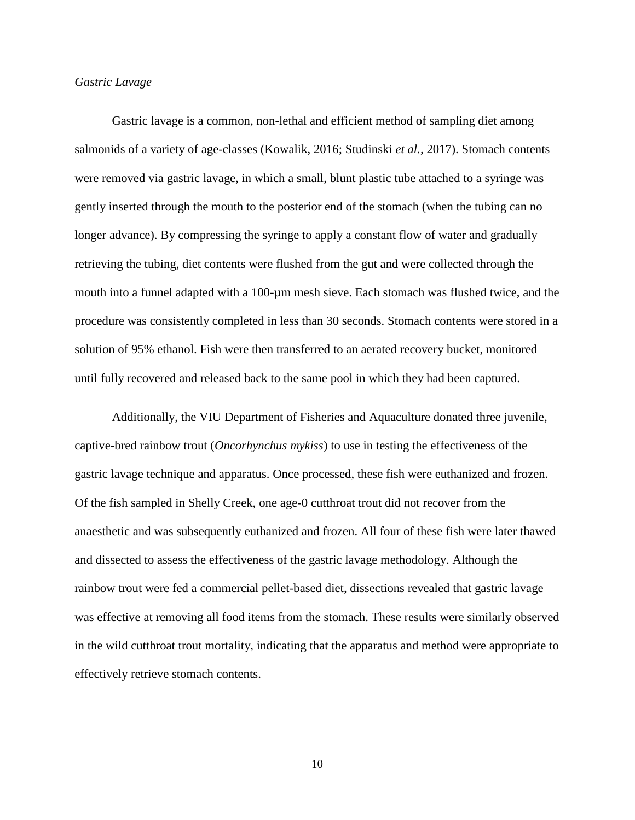## *Gastric Lavage*

Gastric lavage is a common, non-lethal and efficient method of sampling diet among salmonids of a variety of age-classes (Kowalik, 2016; Studinski *et al.,* 2017). Stomach contents were removed via gastric lavage, in which a small, blunt plastic tube attached to a syringe was gently inserted through the mouth to the posterior end of the stomach (when the tubing can no longer advance). By compressing the syringe to apply a constant flow of water and gradually retrieving the tubing, diet contents were flushed from the gut and were collected through the mouth into a funnel adapted with a 100-µm mesh sieve. Each stomach was flushed twice, and the procedure was consistently completed in less than 30 seconds. Stomach contents were stored in a solution of 95% ethanol. Fish were then transferred to an aerated recovery bucket, monitored until fully recovered and released back to the same pool in which they had been captured.

Additionally, the VIU Department of Fisheries and Aquaculture donated three juvenile, captive-bred rainbow trout (*Oncorhynchus mykiss*) to use in testing the effectiveness of the gastric lavage technique and apparatus. Once processed, these fish were euthanized and frozen. Of the fish sampled in Shelly Creek, one age-0 cutthroat trout did not recover from the anaesthetic and was subsequently euthanized and frozen. All four of these fish were later thawed and dissected to assess the effectiveness of the gastric lavage methodology. Although the rainbow trout were fed a commercial pellet-based diet, dissections revealed that gastric lavage was effective at removing all food items from the stomach. These results were similarly observed in the wild cutthroat trout mortality, indicating that the apparatus and method were appropriate to effectively retrieve stomach contents.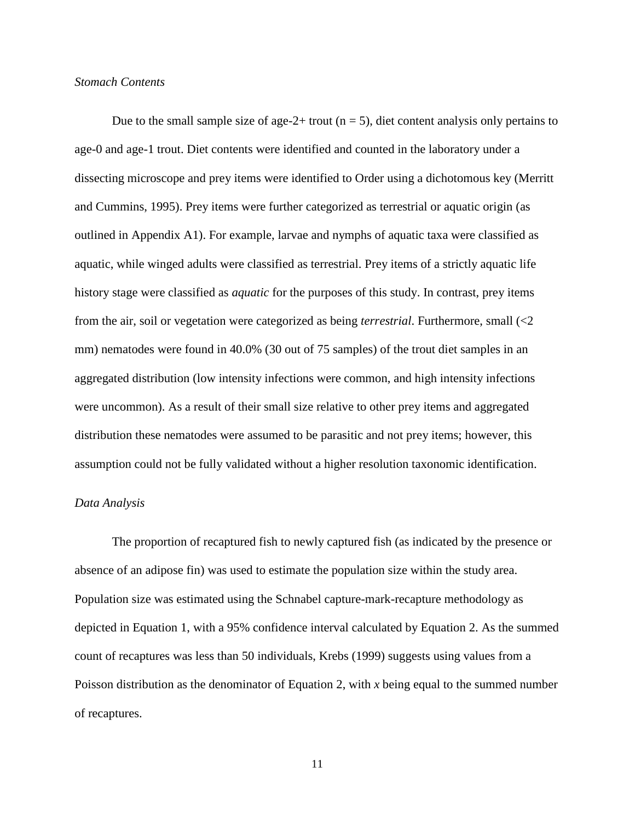## *Stomach Contents*

Due to the small sample size of age-2+ trout  $(n = 5)$ , diet content analysis only pertains to age-0 and age-1 trout. Diet contents were identified and counted in the laboratory under a dissecting microscope and prey items were identified to Order using a dichotomous key (Merritt and Cummins, 1995). Prey items were further categorized as terrestrial or aquatic origin (as outlined in Appendix A1). For example, larvae and nymphs of aquatic taxa were classified as aquatic, while winged adults were classified as terrestrial. Prey items of a strictly aquatic life history stage were classified as *aquatic* for the purposes of this study. In contrast, prey items from the air, soil or vegetation were categorized as being *terrestrial*. Furthermore, small (<2 mm) nematodes were found in 40.0% (30 out of 75 samples) of the trout diet samples in an aggregated distribution (low intensity infections were common, and high intensity infections were uncommon). As a result of their small size relative to other prey items and aggregated distribution these nematodes were assumed to be parasitic and not prey items; however, this assumption could not be fully validated without a higher resolution taxonomic identification.

#### *Data Analysis*

The proportion of recaptured fish to newly captured fish (as indicated by the presence or absence of an adipose fin) was used to estimate the population size within the study area. Population size was estimated using the Schnabel capture-mark-recapture methodology as depicted in Equation 1, with a 95% confidence interval calculated by Equation 2. As the summed count of recaptures was less than 50 individuals, Krebs (1999) suggests using values from a Poisson distribution as the denominator of Equation 2, with *x* being equal to the summed number of recaptures.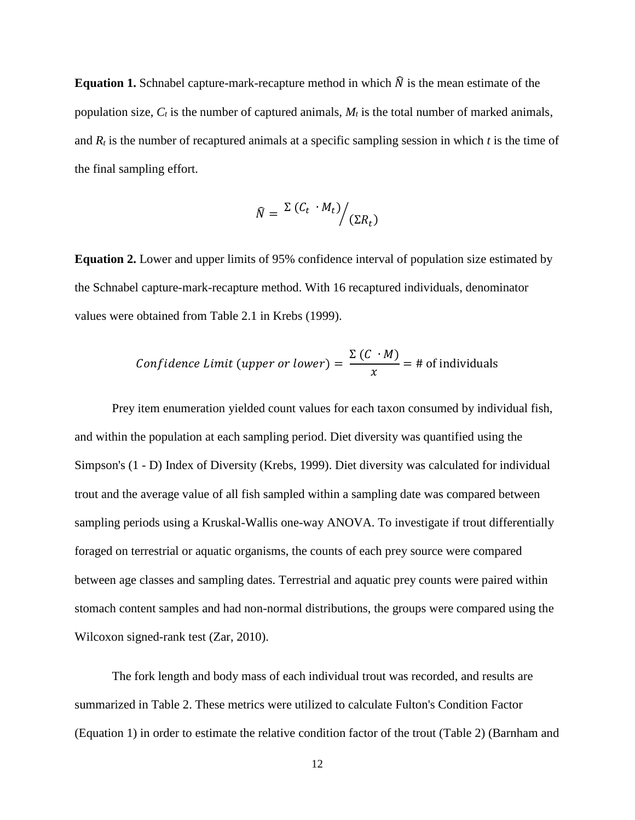**Equation 1.** Schnabel capture-mark-recapture method in which  $\hat{N}$  is the mean estimate of the population size,  $C_t$  is the number of captured animals,  $M_t$  is the total number of marked animals, and  $R_t$  is the number of recaptured animals at a specific sampling session in which  $t$  is the time of the final sampling effort.

$$
\widehat{N} = \left. \frac{\Sigma (C_t \cdot M_t)}{\Sigma R_t} \right/ (\Sigma R_t)
$$

**Equation 2.** Lower and upper limits of 95% confidence interval of population size estimated by the Schnabel capture-mark-recapture method. With 16 recaptured individuals, denominator values were obtained from Table 2.1 in Krebs (1999).

Confidence Limit (upper or lower) = 
$$
\frac{\Sigma(C \cdot M)}{x} = \text{\# of individuals}
$$

Prey item enumeration yielded count values for each taxon consumed by individual fish, and within the population at each sampling period. Diet diversity was quantified using the Simpson's (1 - D) Index of Diversity (Krebs, 1999). Diet diversity was calculated for individual trout and the average value of all fish sampled within a sampling date was compared between sampling periods using a Kruskal-Wallis one-way ANOVA. To investigate if trout differentially foraged on terrestrial or aquatic organisms, the counts of each prey source were compared between age classes and sampling dates. Terrestrial and aquatic prey counts were paired within stomach content samples and had non-normal distributions, the groups were compared using the Wilcoxon signed-rank test (Zar, 2010).

The fork length and body mass of each individual trout was recorded, and results are summarized in Table 2. These metrics were utilized to calculate Fulton's Condition Factor (Equation 1) in order to estimate the relative condition factor of the trout (Table 2) (Barnham and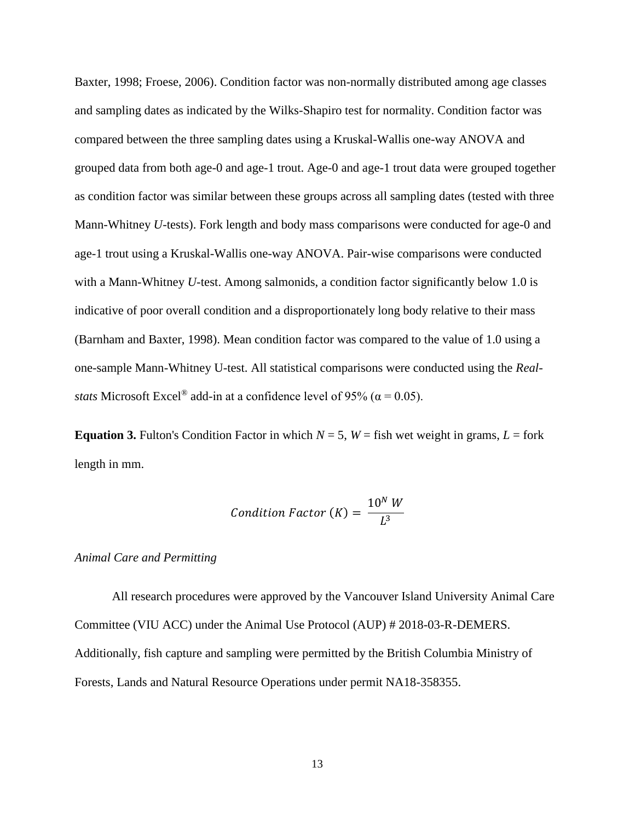Baxter, 1998; Froese, 2006). Condition factor was non-normally distributed among age classes and sampling dates as indicated by the Wilks-Shapiro test for normality. Condition factor was compared between the three sampling dates using a Kruskal-Wallis one-way ANOVA and grouped data from both age-0 and age-1 trout. Age-0 and age-1 trout data were grouped together as condition factor was similar between these groups across all sampling dates (tested with three Mann-Whitney *U*-tests). Fork length and body mass comparisons were conducted for age-0 and age-1 trout using a Kruskal-Wallis one-way ANOVA. Pair-wise comparisons were conducted with a Mann-Whitney *U*-test. Among salmonids, a condition factor significantly below 1.0 is indicative of poor overall condition and a disproportionately long body relative to their mass (Barnham and Baxter, 1998). Mean condition factor was compared to the value of 1.0 using a one-sample Mann-Whitney U-test. All statistical comparisons were conducted using the *Realstats* Microsoft Excel<sup>®</sup> add-in at a confidence level of 95% ( $\alpha$  = 0.05).

**Equation 3.** Fulton's Condition Factor in which  $N = 5$ ,  $W =$  fish wet weight in grams,  $L =$  fork length in mm.

Condition Factor 
$$
(K) = \frac{10^N W}{L^3}
$$

#### *Animal Care and Permitting*

All research procedures were approved by the Vancouver Island University Animal Care Committee (VIU ACC) under the Animal Use Protocol (AUP) # 2018-03-R-DEMERS. Additionally, fish capture and sampling were permitted by the British Columbia Ministry of Forests, Lands and Natural Resource Operations under permit NA18-358355.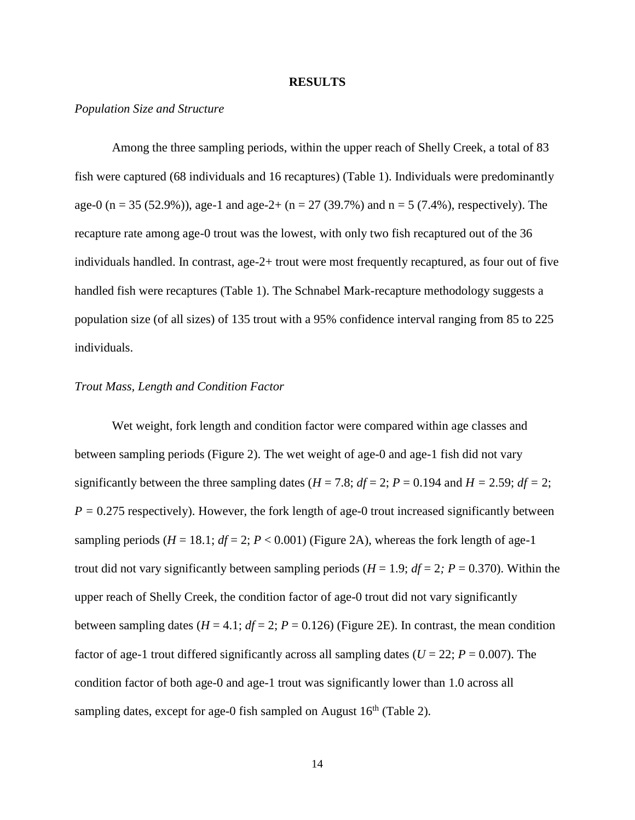#### **RESULTS**

#### *Population Size and Structure*

Among the three sampling periods, within the upper reach of Shelly Creek, a total of 83 fish were captured (68 individuals and 16 recaptures) (Table 1). Individuals were predominantly age-0 (n = 35 (52.9%)), age-1 and age-2+ (n = 27 (39.7%) and n = 5 (7.4%), respectively). The recapture rate among age-0 trout was the lowest, with only two fish recaptured out of the 36 individuals handled. In contrast, age-2+ trout were most frequently recaptured, as four out of five handled fish were recaptures (Table 1). The Schnabel Mark-recapture methodology suggests a population size (of all sizes) of 135 trout with a 95% confidence interval ranging from 85 to 225 individuals.

## *Trout Mass, Length and Condition Factor*

Wet weight, fork length and condition factor were compared within age classes and between sampling periods (Figure 2). The wet weight of age-0 and age-1 fish did not vary significantly between the three sampling dates ( $H = 7.8$ ;  $df = 2$ ;  $P = 0.194$  and  $H = 2.59$ ;  $df = 2$ ;  $P = 0.275$  respectively). However, the fork length of age-0 trout increased significantly between sampling periods ( $H = 18.1$ ;  $df = 2$ ;  $P < 0.001$ ) (Figure 2A), whereas the fork length of age-1 trout did not vary significantly between sampling periods  $(H = 1.9; df = 2; P = 0.370)$ . Within the upper reach of Shelly Creek, the condition factor of age-0 trout did not vary significantly between sampling dates ( $H = 4.1$ ;  $df = 2$ ;  $P = 0.126$ ) (Figure 2E). In contrast, the mean condition factor of age-1 trout differed significantly across all sampling dates ( $U = 22$ ;  $P = 0.007$ ). The condition factor of both age-0 and age-1 trout was significantly lower than 1.0 across all sampling dates, except for age-0 fish sampled on August  $16<sup>th</sup>$  (Table 2).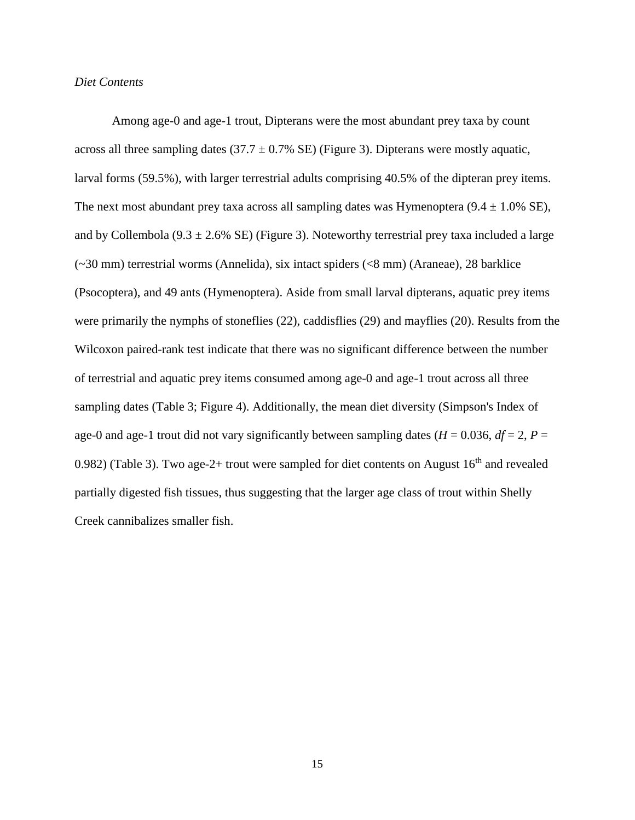#### *Diet Contents*

Among age-0 and age-1 trout, Dipterans were the most abundant prey taxa by count across all three sampling dates  $(37.7 \pm 0.7\% \text{ SE})$  (Figure 3). Dipterans were mostly aquatic, larval forms (59.5%), with larger terrestrial adults comprising 40.5% of the dipteran prey items. The next most abundant prey taxa across all sampling dates was Hymenoptera  $(9.4 \pm 1.0\% \text{ SE})$ , and by Collembola (9.3  $\pm$  2.6% SE) (Figure 3). Noteworthy terrestrial prey taxa included a large (~30 mm) terrestrial worms (Annelida), six intact spiders (<8 mm) (Araneae), 28 barklice (Psocoptera), and 49 ants (Hymenoptera). Aside from small larval dipterans, aquatic prey items were primarily the nymphs of stoneflies (22), caddisflies (29) and mayflies (20). Results from the Wilcoxon paired-rank test indicate that there was no significant difference between the number of terrestrial and aquatic prey items consumed among age-0 and age-1 trout across all three sampling dates (Table 3; Figure 4). Additionally, the mean diet diversity (Simpson's Index of age-0 and age-1 trout did not vary significantly between sampling dates ( $H = 0.036$ ,  $df = 2$ ,  $P =$ 0.982) (Table 3). Two age-2+ trout were sampled for diet contents on August  $16<sup>th</sup>$  and revealed partially digested fish tissues, thus suggesting that the larger age class of trout within Shelly Creek cannibalizes smaller fish.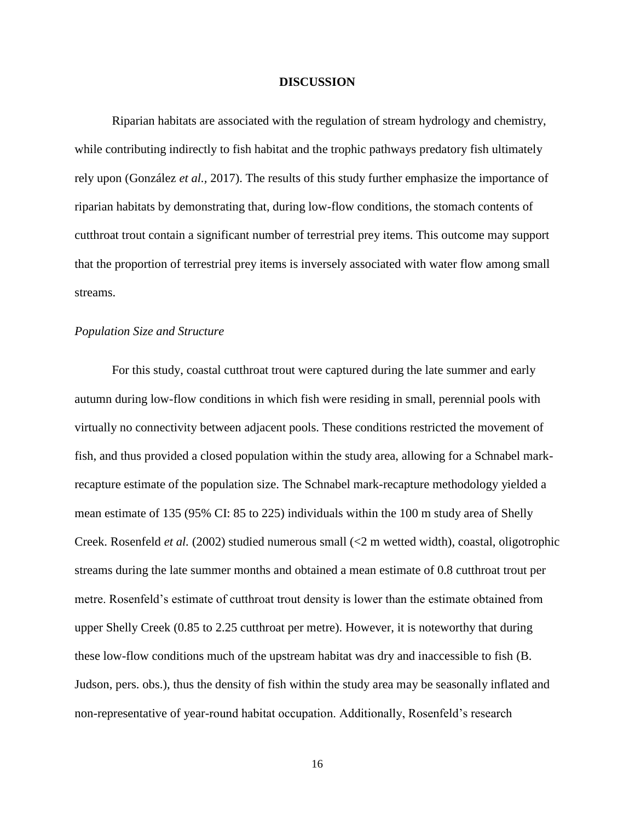#### **DISCUSSION**

Riparian habitats are associated with the regulation of stream hydrology and chemistry, while contributing indirectly to fish habitat and the trophic pathways predatory fish ultimately rely upon (González *et al.,* 2017). The results of this study further emphasize the importance of riparian habitats by demonstrating that, during low-flow conditions, the stomach contents of cutthroat trout contain a significant number of terrestrial prey items. This outcome may support that the proportion of terrestrial prey items is inversely associated with water flow among small streams.

#### *Population Size and Structure*

For this study, coastal cutthroat trout were captured during the late summer and early autumn during low-flow conditions in which fish were residing in small, perennial pools with virtually no connectivity between adjacent pools. These conditions restricted the movement of fish, and thus provided a closed population within the study area, allowing for a Schnabel markrecapture estimate of the population size. The Schnabel mark-recapture methodology yielded a mean estimate of 135 (95% CI: 85 to 225) individuals within the 100 m study area of Shelly Creek. Rosenfeld *et al.* (2002) studied numerous small (<2 m wetted width), coastal, oligotrophic streams during the late summer months and obtained a mean estimate of 0.8 cutthroat trout per metre. Rosenfeld's estimate of cutthroat trout density is lower than the estimate obtained from upper Shelly Creek (0.85 to 2.25 cutthroat per metre). However, it is noteworthy that during these low-flow conditions much of the upstream habitat was dry and inaccessible to fish (B. Judson, pers. obs.), thus the density of fish within the study area may be seasonally inflated and non-representative of year-round habitat occupation. Additionally, Rosenfeld's research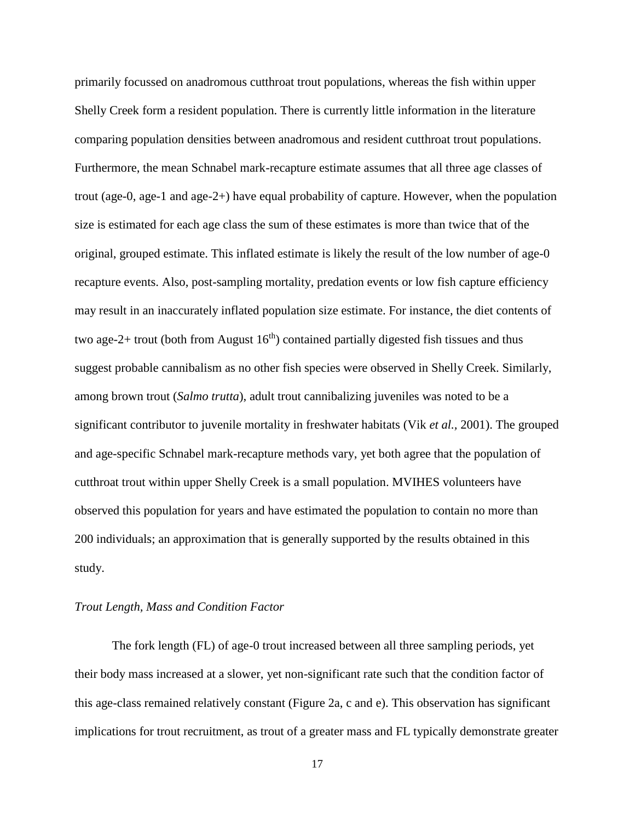primarily focussed on anadromous cutthroat trout populations, whereas the fish within upper Shelly Creek form a resident population. There is currently little information in the literature comparing population densities between anadromous and resident cutthroat trout populations. Furthermore, the mean Schnabel mark-recapture estimate assumes that all three age classes of trout (age-0, age-1 and age-2+) have equal probability of capture. However, when the population size is estimated for each age class the sum of these estimates is more than twice that of the original, grouped estimate. This inflated estimate is likely the result of the low number of age-0 recapture events. Also, post-sampling mortality, predation events or low fish capture efficiency may result in an inaccurately inflated population size estimate. For instance, the diet contents of two age-2+ trout (both from August  $16<sup>th</sup>$ ) contained partially digested fish tissues and thus suggest probable cannibalism as no other fish species were observed in Shelly Creek. Similarly, among brown trout (*Salmo trutta*), adult trout cannibalizing juveniles was noted to be a significant contributor to juvenile mortality in freshwater habitats (Vik *et al.,* 2001). The grouped and age-specific Schnabel mark-recapture methods vary, yet both agree that the population of cutthroat trout within upper Shelly Creek is a small population. MVIHES volunteers have observed this population for years and have estimated the population to contain no more than 200 individuals; an approximation that is generally supported by the results obtained in this study.

#### *Trout Length, Mass and Condition Factor*

The fork length (FL) of age-0 trout increased between all three sampling periods, yet their body mass increased at a slower, yet non-significant rate such that the condition factor of this age-class remained relatively constant (Figure 2a, c and e). This observation has significant implications for trout recruitment, as trout of a greater mass and FL typically demonstrate greater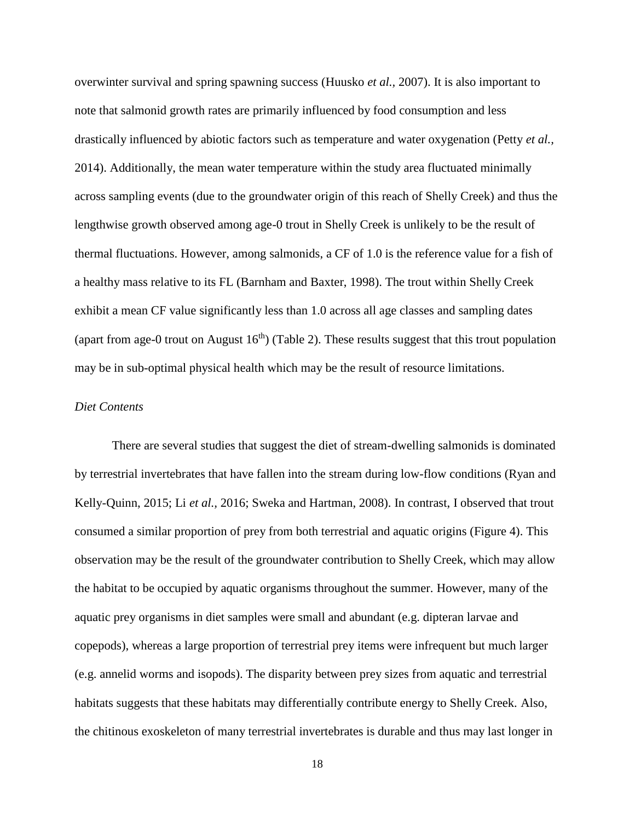overwinter survival and spring spawning success (Huusko *et al.,* 2007). It is also important to note that salmonid growth rates are primarily influenced by food consumption and less drastically influenced by abiotic factors such as temperature and water oxygenation (Petty *et al.,*  2014). Additionally, the mean water temperature within the study area fluctuated minimally across sampling events (due to the groundwater origin of this reach of Shelly Creek) and thus the lengthwise growth observed among age-0 trout in Shelly Creek is unlikely to be the result of thermal fluctuations. However, among salmonids, a CF of 1.0 is the reference value for a fish of a healthy mass relative to its FL (Barnham and Baxter, 1998). The trout within Shelly Creek exhibit a mean CF value significantly less than 1.0 across all age classes and sampling dates (apart from age-0 trout on August  $16<sup>th</sup>$ ) (Table 2). These results suggest that this trout population may be in sub-optimal physical health which may be the result of resource limitations.

#### *Diet Contents*

There are several studies that suggest the diet of stream-dwelling salmonids is dominated by terrestrial invertebrates that have fallen into the stream during low-flow conditions (Ryan and Kelly-Quinn, 2015; Li *et al.,* 2016; Sweka and Hartman, 2008). In contrast, I observed that trout consumed a similar proportion of prey from both terrestrial and aquatic origins (Figure 4). This observation may be the result of the groundwater contribution to Shelly Creek, which may allow the habitat to be occupied by aquatic organisms throughout the summer. However, many of the aquatic prey organisms in diet samples were small and abundant (e.g. dipteran larvae and copepods), whereas a large proportion of terrestrial prey items were infrequent but much larger (e.g. annelid worms and isopods). The disparity between prey sizes from aquatic and terrestrial habitats suggests that these habitats may differentially contribute energy to Shelly Creek. Also, the chitinous exoskeleton of many terrestrial invertebrates is durable and thus may last longer in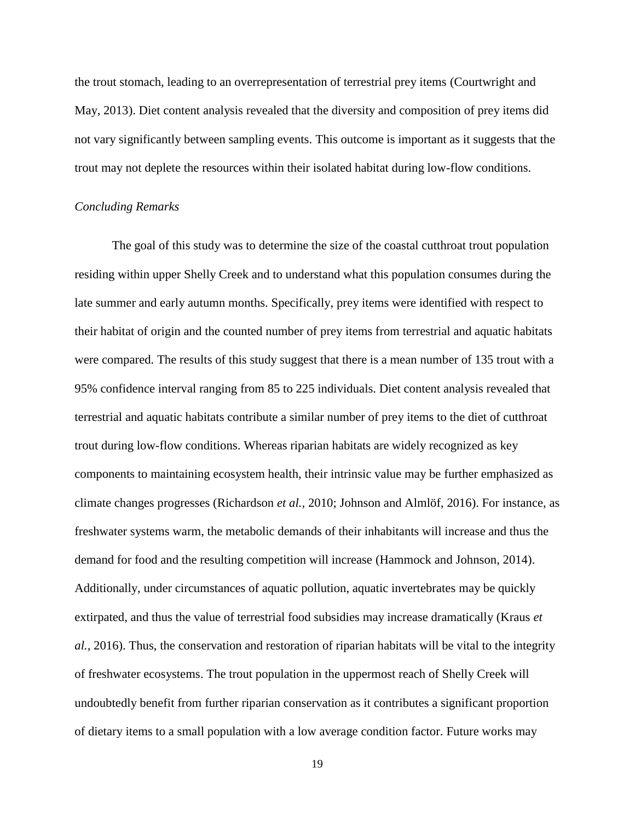the trout stomach, leading to an overrepresentation of terrestrial prey items (Courtwright and May, 2013). Diet content analysis revealed that the diversity and composition of prey items did not vary significantly between sampling events. This outcome is important as it suggests that the trout may not deplete the resources within their isolated habitat during low-flow conditions.

#### *Concluding Remarks*

The goal of this study was to determine the size of the coastal cutthroat trout population residing within upper Shelly Creek and to understand what this population consumes during the late summer and early autumn months. Specifically, prey items were identified with respect to their habitat of origin and the counted number of prey items from terrestrial and aquatic habitats were compared. The results of this study suggest that there is a mean number of 135 trout with a 95% confidence interval ranging from 85 to 225 individuals. Diet content analysis revealed that terrestrial and aquatic habitats contribute a similar number of prey items to the diet of cutthroat trout during low-flow conditions. Whereas riparian habitats are widely recognized as key components to maintaining ecosystem health, their intrinsic value may be further emphasized as climate changes progresses (Richardson *et al.,* 2010; Johnson and Almlöf, 2016). For instance, as freshwater systems warm, the metabolic demands of their inhabitants will increase and thus the demand for food and the resulting competition will increase (Hammock and Johnson, 2014). Additionally, under circumstances of aquatic pollution, aquatic invertebrates may be quickly extirpated, and thus the value of terrestrial food subsidies may increase dramatically (Kraus *et al.,* 2016). Thus, the conservation and restoration of riparian habitats will be vital to the integrity of freshwater ecosystems. The trout population in the uppermost reach of Shelly Creek will undoubtedly benefit from further riparian conservation as it contributes a significant proportion of dietary items to a small population with a low average condition factor. Future works may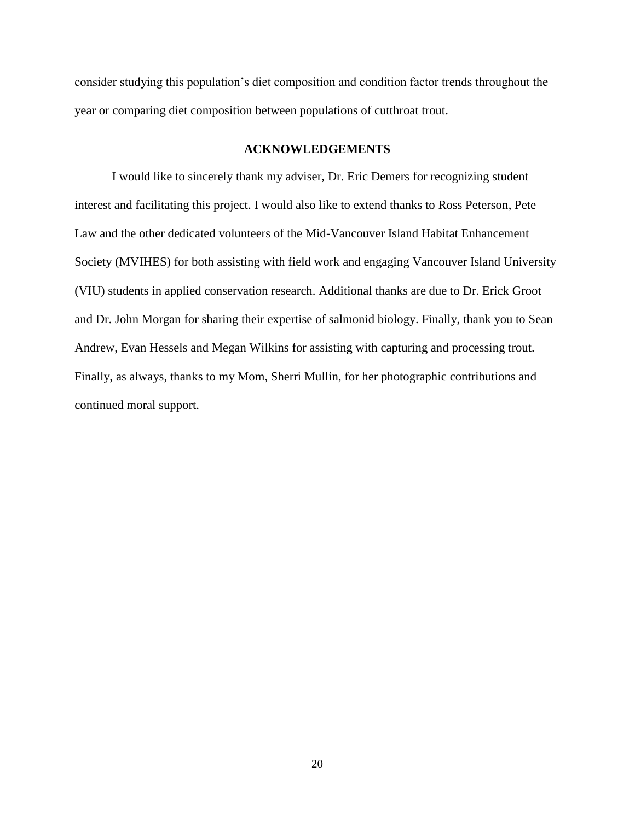consider studying this population's diet composition and condition factor trends throughout the year or comparing diet composition between populations of cutthroat trout.

## **ACKNOWLEDGEMENTS**

I would like to sincerely thank my adviser, Dr. Eric Demers for recognizing student interest and facilitating this project. I would also like to extend thanks to Ross Peterson, Pete Law and the other dedicated volunteers of the Mid-Vancouver Island Habitat Enhancement Society (MVIHES) for both assisting with field work and engaging Vancouver Island University (VIU) students in applied conservation research. Additional thanks are due to Dr. Erick Groot and Dr. John Morgan for sharing their expertise of salmonid biology. Finally, thank you to Sean Andrew, Evan Hessels and Megan Wilkins for assisting with capturing and processing trout. Finally, as always, thanks to my Mom, Sherri Mullin, for her photographic contributions and continued moral support.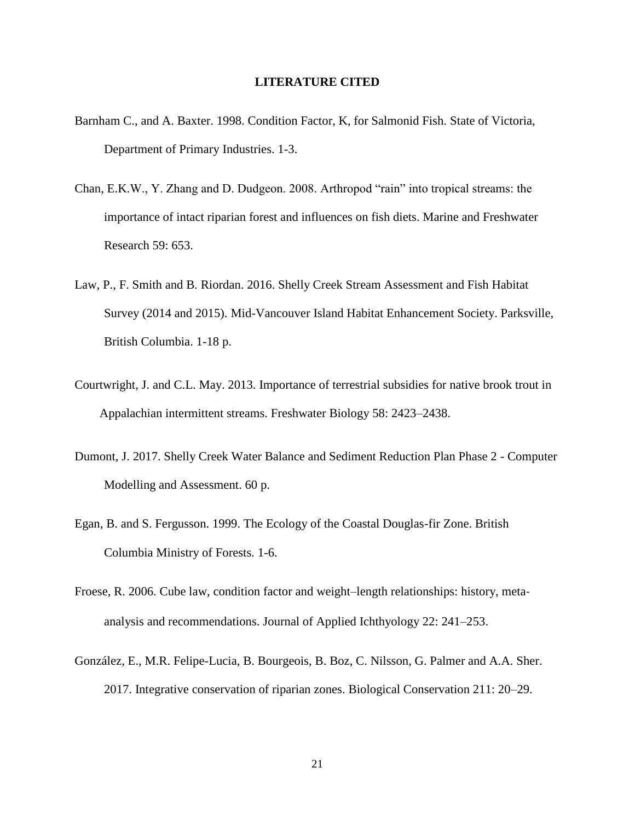#### **LITERATURE CITED**

- Barnham C., and A. Baxter. 1998. Condition Factor, K, for Salmonid Fish. State of Victoria, Department of Primary Industries. 1-3.
- Chan, E.K.W., Y. Zhang and D. Dudgeon. 2008. Arthropod "rain" into tropical streams: the importance of intact riparian forest and influences on fish diets. Marine and Freshwater Research 59: 653.
- Law, P., F. Smith and B. Riordan. 2016. Shelly Creek Stream Assessment and Fish Habitat Survey (2014 and 2015). Mid-Vancouver Island Habitat Enhancement Society. Parksville, British Columbia. 1-18 p.
- Courtwright, J. and C.L. May. 2013. Importance of terrestrial subsidies for native brook trout in Appalachian intermittent streams. Freshwater Biology 58: 2423–2438.
- Dumont, J. 2017. Shelly Creek Water Balance and Sediment Reduction Plan Phase 2 Computer Modelling and Assessment. 60 p.
- Egan, B. and S. Fergusson. 1999. The Ecology of the Coastal Douglas-fir Zone. British Columbia Ministry of Forests. 1-6.
- Froese, R. 2006. Cube law, condition factor and weight–length relationships: history, metaanalysis and recommendations. Journal of Applied Ichthyology 22: 241–253.
- González, E., M.R. Felipe-Lucia, B. Bourgeois, B. Boz, C. Nilsson, G. Palmer and A.A. Sher. 2017. Integrative conservation of riparian zones. Biological Conservation 211: 20–29.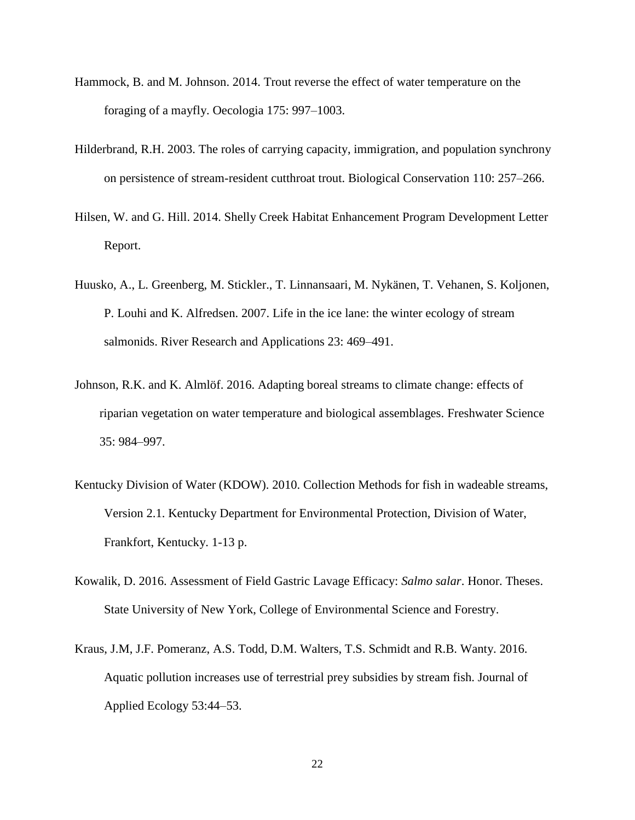- Hammock, B. and M. Johnson. 2014. Trout reverse the effect of water temperature on the foraging of a mayfly. Oecologia 175: 997–1003.
- Hilderbrand, R.H. 2003. The roles of carrying capacity, immigration, and population synchrony on persistence of stream-resident cutthroat trout. Biological Conservation 110: 257–266.
- Hilsen, W. and G. Hill. 2014. Shelly Creek Habitat Enhancement Program Development Letter Report.
- Huusko, A., L. Greenberg, M. Stickler., T. Linnansaari, M. Nykänen, T. Vehanen, S. Koljonen, P. Louhi and K. Alfredsen. 2007. Life in the ice lane: the winter ecology of stream salmonids. River Research and Applications 23: 469–491.
- Johnson, R.K. and K. Almlöf. 2016. Adapting boreal streams to climate change: effects of riparian vegetation on water temperature and biological assemblages. Freshwater Science 35: 984–997.
- Kentucky Division of Water (KDOW). 2010. Collection Methods for fish in wadeable streams, Version 2.1. Kentucky Department for Environmental Protection, Division of Water, Frankfort, Kentucky. 1-13 p.
- Kowalik, D. 2016. Assessment of Field Gastric Lavage Efficacy: *Salmo salar*. Honor. Theses. State University of New York, College of Environmental Science and Forestry.
- Kraus, J.M, J.F. Pomeranz, A.S. Todd, D.M. Walters, T.S. Schmidt and R.B. Wanty. 2016. Aquatic pollution increases use of terrestrial prey subsidies by stream fish. Journal of Applied Ecology 53:44–53.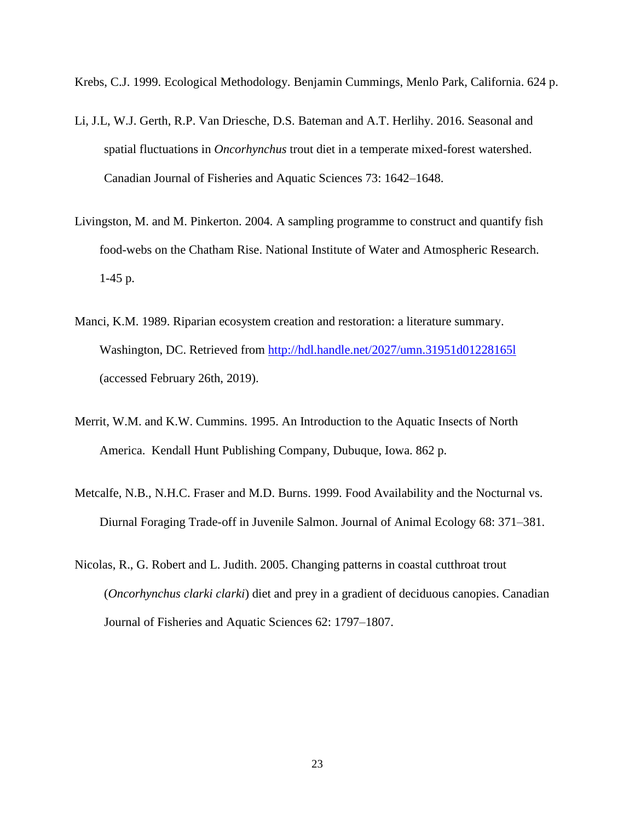Krebs, C.J. 1999. Ecological Methodology. Benjamin Cummings, Menlo Park, California. 624 p.

- Li, J.L, W.J. Gerth, R.P. Van Driesche, D.S. Bateman and A.T. Herlihy. 2016. Seasonal and spatial fluctuations in *Oncorhynchus* trout diet in a temperate mixed-forest watershed. Canadian Journal of Fisheries and Aquatic Sciences 73: 1642–1648.
- Livingston, M. and M. Pinkerton. 2004. A sampling programme to construct and quantify fish food-webs on the Chatham Rise. National Institute of Water and Atmospheric Research. 1-45 p.
- Manci, K.M. 1989. Riparian ecosystem creation and restoration: a literature summary. Washington, DC. Retrieved from http://hdl.handle.net/2027/umn.31951d012281651 (accessed February 26th, 2019).
- Merrit, W.M. and K.W. Cummins. 1995. An Introduction to the Aquatic Insects of North America. Kendall Hunt Publishing Company, Dubuque, Iowa. 862 p.
- Metcalfe, N.B., N.H.C. Fraser and M.D. Burns. 1999. Food Availability and the Nocturnal vs. Diurnal Foraging Trade-off in Juvenile Salmon. Journal of Animal Ecology 68: 371–381.
- Nicolas, R., G. Robert and L. Judith. 2005. Changing patterns in coastal cutthroat trout (*Oncorhynchus clarki clarki*) diet and prey in a gradient of deciduous canopies. Canadian Journal of Fisheries and Aquatic Sciences 62: 1797–1807.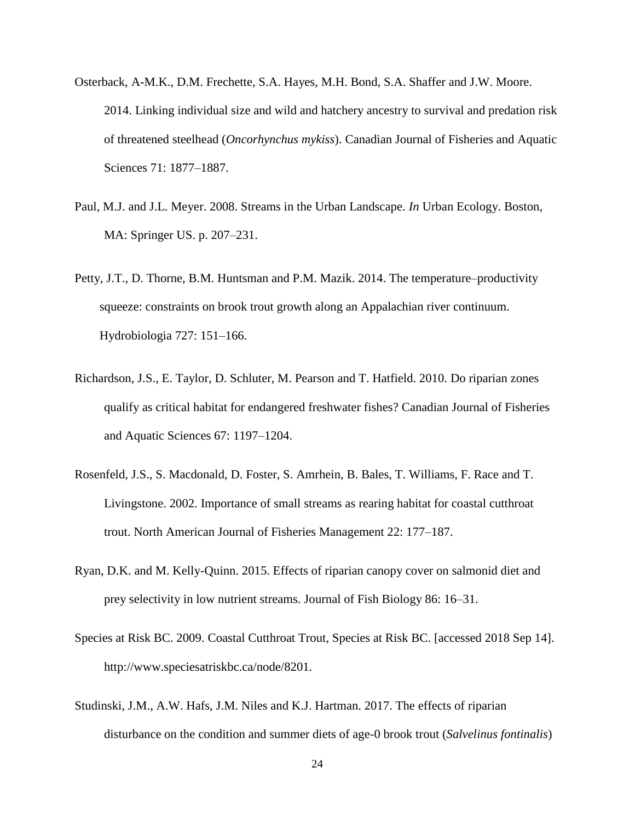- Osterback, A-M.K., D.M. Frechette, S.A. Hayes, M.H. Bond, S.A. Shaffer and J.W. Moore. 2014. Linking individual size and wild and hatchery ancestry to survival and predation risk of threatened steelhead (*Oncorhynchus mykiss*). Canadian Journal of Fisheries and Aquatic Sciences 71: 1877–1887.
- Paul, M.J. and J.L. Meyer. 2008. Streams in the Urban Landscape. *In* Urban Ecology. Boston, MA: Springer US. p. 207–231.
- Petty, J.T., D. Thorne, B.M. Huntsman and P.M. Mazik. 2014. The temperature–productivity squeeze: constraints on brook trout growth along an Appalachian river continuum. Hydrobiologia 727: 151–166.
- Richardson, J.S., E. Taylor, D. Schluter, M. Pearson and T. Hatfield. 2010. Do riparian zones qualify as critical habitat for endangered freshwater fishes? Canadian Journal of Fisheries and Aquatic Sciences 67: 1197–1204.
- Rosenfeld, J.S., S. Macdonald, D. Foster, S. Amrhein, B. Bales, T. Williams, F. Race and T. Livingstone. 2002. Importance of small streams as rearing habitat for coastal cutthroat trout. North American Journal of Fisheries Management 22: 177–187.
- Ryan, D.K. and M. Kelly-Quinn. 2015. Effects of riparian canopy cover on salmonid diet and prey selectivity in low nutrient streams. Journal of Fish Biology 86: 16–31.
- Species at Risk BC. 2009. Coastal Cutthroat Trout, Species at Risk BC. [accessed 2018 Sep 14]. http://www.speciesatriskbc.ca/node/8201.
- Studinski, J.M., A.W. Hafs, J.M. Niles and K.J. Hartman. 2017. The effects of riparian disturbance on the condition and summer diets of age-0 brook trout (*Salvelinus fontinalis*)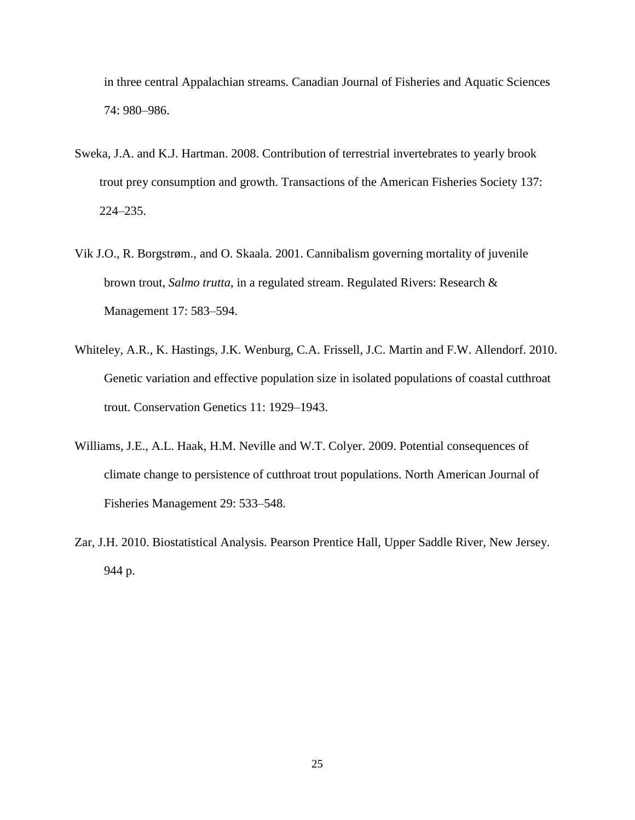in three central Appalachian streams. Canadian Journal of Fisheries and Aquatic Sciences 74: 980–986.

- Sweka, J.A. and K.J. Hartman. 2008. Contribution of terrestrial invertebrates to yearly brook trout prey consumption and growth. Transactions of the American Fisheries Society 137: 224–235.
- Vik J.O., R. Borgstrøm., and O. Skaala. 2001. Cannibalism governing mortality of juvenile brown trout, *Salmo trutta*, in a regulated stream. Regulated Rivers: Research & Management 17: 583–594.
- Whiteley, A.R., K. Hastings, J.K. Wenburg, C.A. Frissell, J.C. Martin and F.W. Allendorf. 2010. Genetic variation and effective population size in isolated populations of coastal cutthroat trout. Conservation Genetics 11: 1929–1943.
- Williams, J.E., A.L. Haak, H.M. Neville and W.T. Colyer. 2009. Potential consequences of climate change to persistence of cutthroat trout populations. North American Journal of Fisheries Management 29: 533–548.
- Zar, J.H. 2010. Biostatistical Analysis. Pearson Prentice Hall, Upper Saddle River, New Jersey. 944 p.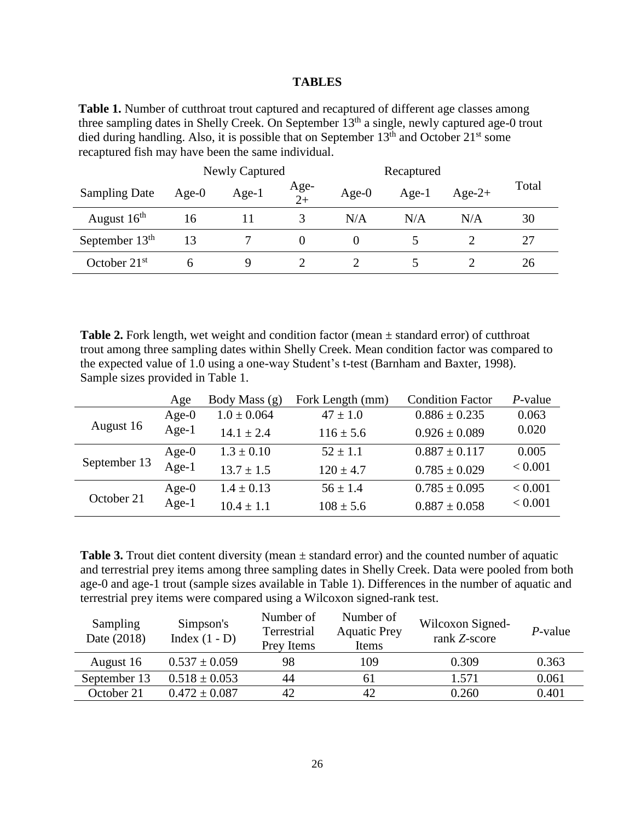#### **TABLES**

Table 1. Number of cutthroat trout captured and recaptured of different age classes among three sampling dates in Shelly Creek. On September 13<sup>th</sup> a single, newly captured age-0 trout died during handling. Also, it is possible that on September  $13<sup>th</sup>$  and October  $21<sup>st</sup>$  some recaptured fish may have been the same individual.

|                      | Newly Captured |         |              | Recaptured |          |          |       |
|----------------------|----------------|---------|--------------|------------|----------|----------|-------|
| <b>Sampling Date</b> | Age- $0$       | $Age-1$ | Age-<br>$2+$ | Age- $0$   | Age- $1$ | $Age-2+$ | Total |
| August $16th$        | 16             |         |              | N/A        | N/A      | N/A      | 30    |
| September $13th$     | 13             |         |              |            |          |          | 27    |
| October $21st$       |                |         |              |            |          |          | 26    |

**Table 2.** Fork length, wet weight and condition factor (mean  $\pm$  standard error) of cutthroat trout among three sampling dates within Shelly Creek. Mean condition factor was compared to the expected value of 1.0 using a one-way Student's t-test (Barnham and Baxter, 1998). Sample sizes provided in Table 1.

|              | Age      | Body Mass (g)   | Fork Length (mm) | <b>Condition Factor</b> | $P$ -value |
|--------------|----------|-----------------|------------------|-------------------------|------------|
| August 16    | $Age-0$  | $1.0 \pm 0.064$ | $47 \pm 1.0$     | $0.886 \pm 0.235$       | 0.063      |
|              | $Age-1$  | $14.1 + 2.4$    | $116 \pm 5.6$    | $0.926 \pm 0.089$       | 0.020      |
| September 13 | Age- $0$ | $1.3 \pm 0.10$  | $52 \pm 1.1$     | $0.887 \pm 0.117$       | 0.005      |
|              | Age- $1$ | $13.7 \pm 1.5$  | $120 \pm 4.7$    | $0.785 \pm 0.029$       | < 0.001    |
| October 21   | $Age-0$  | $1.4 \pm 0.13$  | $56 \pm 1.4$     | $0.785 \pm 0.095$       | < 0.001    |
|              | Age- $1$ | $10.4 \pm 1.1$  | $108 \pm 5.6$    | $0.887 \pm 0.058$       | < 0.001    |

**Table 3.** Trout diet content diversity (mean  $\pm$  standard error) and the counted number of aquatic and terrestrial prey items among three sampling dates in Shelly Creek. Data were pooled from both age-0 and age-1 trout (sample sizes available in Table 1). Differences in the number of aquatic and terrestrial prey items were compared using a Wilcoxon signed-rank test.

| Sampling<br>Date (2018) | Simpson's<br>Index $(1 - D)$ | Number of<br>Terrestrial<br>Prey Items | Number of<br><b>Aquatic Prey</b><br>Items | Wilcoxon Signed-<br>rank Z-score | $P$ -value |
|-------------------------|------------------------------|----------------------------------------|-------------------------------------------|----------------------------------|------------|
| August 16               | $0.537 \pm 0.059$            | 98                                     | 109                                       | 0.309                            | 0.363      |
| September 13            | $0.518 \pm 0.053$            | 44                                     |                                           | 1.571                            | 0.061      |
| October 21              | $0.472 \pm 0.087$            |                                        |                                           | 0.260                            | 0.401      |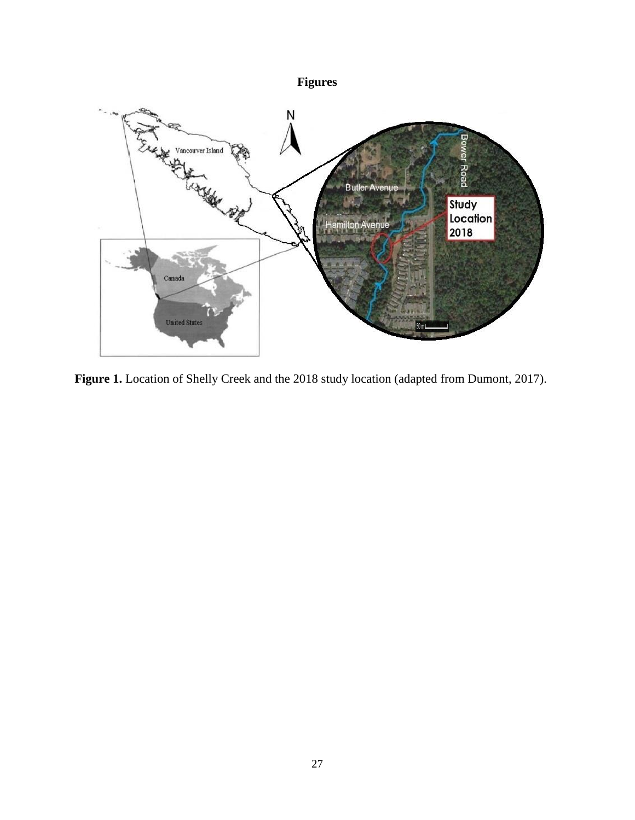## **Figures**



**Figure 1.** Location of Shelly Creek and the 2018 study location (adapted from Dumont, 2017).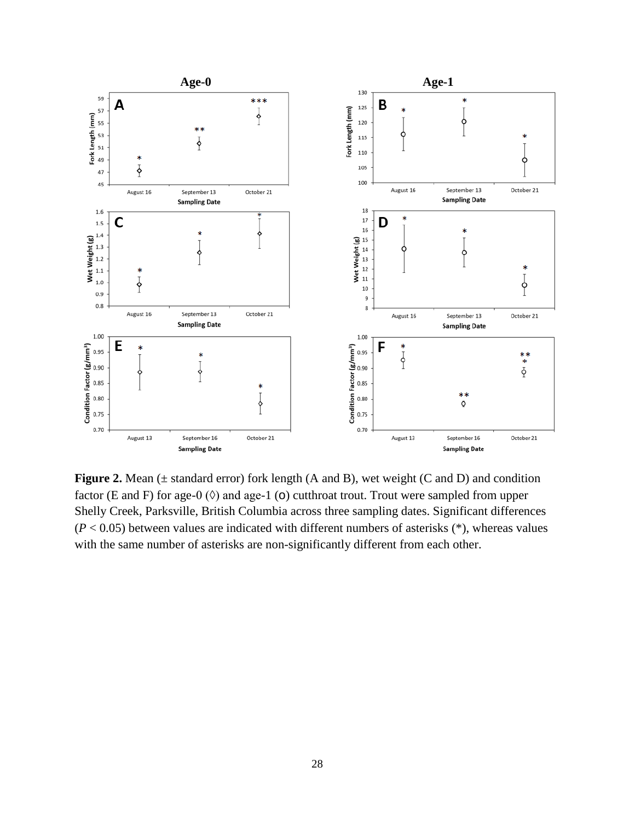

**Figure 2.** Mean ( $\pm$  standard error) fork length (A and B), wet weight (C and D) and condition factor (E and F) for age-0 ( $\Diamond$ ) and age-1 ( $\circ$ ) cutthroat trout. Trout were sampled from upper Shelly Creek, Parksville, British Columbia across three sampling dates. Significant differences  $(P < 0.05)$  between values are indicated with different numbers of asterisks  $(*)$ , whereas values with the same number of asterisks are non-significantly different from each other.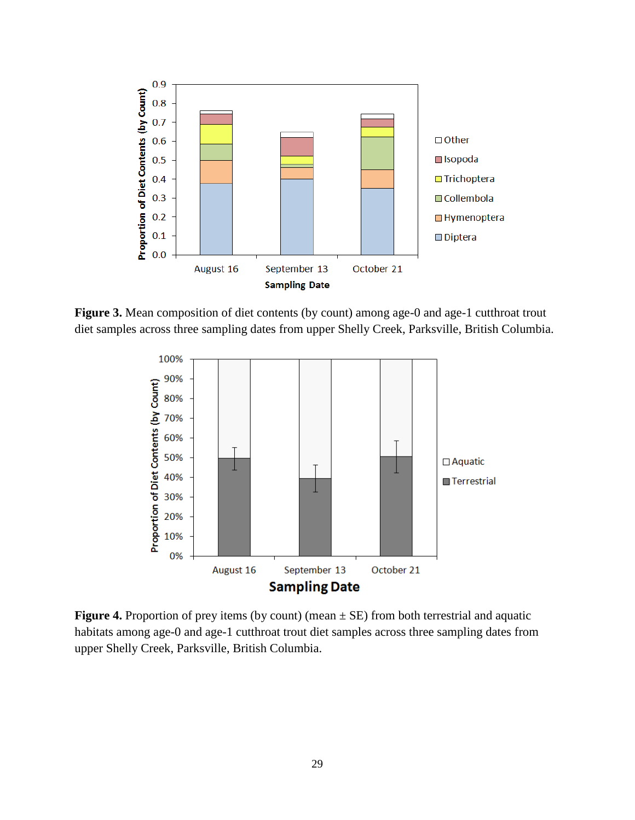

Figure 3. Mean composition of diet contents (by count) among age-0 and age-1 cutthroat trout diet samples across three sampling dates from upper Shelly Creek, Parksville, British Columbia.



**Figure 4.** Proportion of prey items (by count) (mean  $\pm$  SE) from both terrestrial and aquatic habitats among age-0 and age-1 cutthroat trout diet samples across three sampling dates from upper Shelly Creek, Parksville, British Columbia.